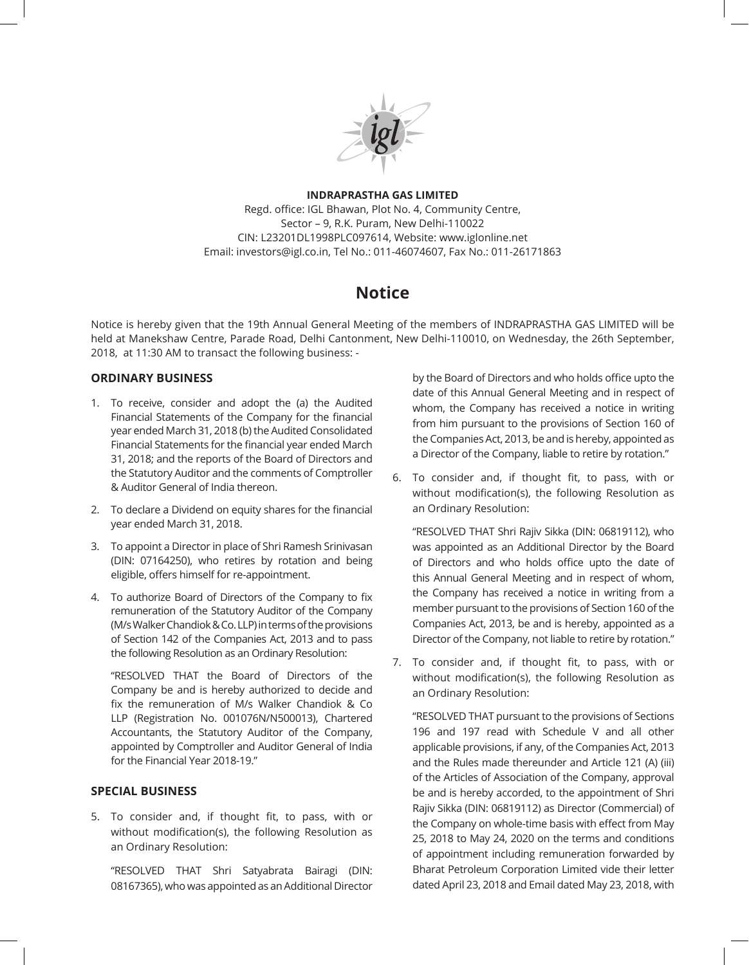

## **INDRAPRASTHA GAS LIMITED** Regd. office: IGL Bhawan, Plot No. 4, Community Centre, Sector – 9, R.K. Puram, New Delhi-110022 CIN: L23201DL1998PLC097614, Website: www.iglonline.net Email: investors@igl.co.in, Tel No.: 011-46074607, Fax No.: 011-26171863

# **Notice**

Notice is hereby given that the 19th Annual General Meeting of the members of INDRAPRASTHA GAS LIMITED will be held at Manekshaw Centre, Parade Road, Delhi Cantonment, New Delhi-110010, on Wednesday, the 26th September, 2018, at 11:30 AM to transact the following business: -

## **ORDINARY BUSINESS**

- 1. To receive, consider and adopt the (a) the Audited Financial Statements of the Company for the financial year ended March 31, 2018 (b) the Audited Consolidated Financial Statements for the financial year ended March 31, 2018; and the reports of the Board of Directors and the Statutory Auditor and the comments of Comptroller & Auditor General of India thereon.
- 2. To declare a Dividend on equity shares for the financial year ended March 31, 2018.
- 3. To appoint a Director in place of Shri Ramesh Srinivasan (DIN: 07164250), who retires by rotation and being eligible, offers himself for re-appointment.
- 4. To authorize Board of Directors of the Company to fix remuneration of the Statutory Auditor of the Company (M/s Walker Chandiok & Co. LLP) in terms of the provisions of Section 142 of the Companies Act, 2013 and to pass the following Resolution as an Ordinary Resolution:

"RESOLVED THAT the Board of Directors of the Company be and is hereby authorized to decide and fix the remuneration of M/s Walker Chandiok & Co LLP (Registration No. 001076N/N500013), Chartered Accountants, the Statutory Auditor of the Company, appointed by Comptroller and Auditor General of India for the Financial Year 2018-19."

## **SPECIAL BUSINESS**

5. To consider and, if thought fit, to pass, with or without modification(s), the following Resolution as an Ordinary Resolution:

"RESOLVED THAT Shri Satyabrata Bairagi (DIN: 08167365), who was appointed as an Additional Director by the Board of Directors and who holds office upto the date of this Annual General Meeting and in respect of whom, the Company has received a notice in writing from him pursuant to the provisions of Section 160 of the Companies Act, 2013, be and is hereby, appointed as a Director of the Company, liable to retire by rotation."

6. To consider and, if thought fit, to pass, with or without modification(s), the following Resolution as an Ordinary Resolution:

"RESOLVED THAT Shri Rajiv Sikka (DIN: 06819112), who was appointed as an Additional Director by the Board of Directors and who holds office upto the date of this Annual General Meeting and in respect of whom, the Company has received a notice in writing from a member pursuant to the provisions of Section 160 of the Companies Act, 2013, be and is hereby, appointed as a Director of the Company, not liable to retire by rotation."

7. To consider and, if thought fit, to pass, with or without modification(s), the following Resolution as an Ordinary Resolution:

"RESOLVED THAT pursuant to the provisions of Sections 196 and 197 read with Schedule V and all other applicable provisions, if any, of the Companies Act, 2013 and the Rules made thereunder and Article 121 (A) (iii) of the Articles of Association of the Company, approval be and is hereby accorded, to the appointment of Shri Rajiv Sikka (DIN: 06819112) as Director (Commercial) of the Company on whole-time basis with effect from May 25, 2018 to May 24, 2020 on the terms and conditions of appointment including remuneration forwarded by Bharat Petroleum Corporation Limited vide their letter dated April 23, 2018 and Email dated May 23, 2018, with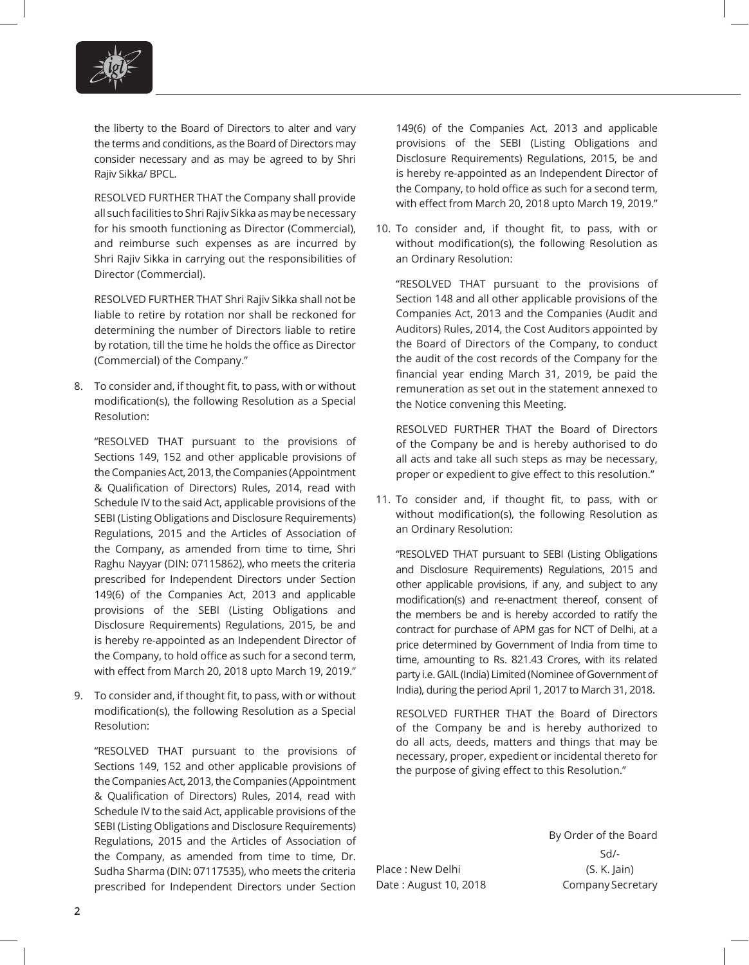

the liberty to the Board of Directors to alter and vary the terms and conditions, as the Board of Directors may consider necessary and as may be agreed to by Shri Rajiv Sikka/ BPCL.

RESOLVED FURTHER THAT the Company shall provide all such facilities to Shri Rajiv Sikka as may be necessary for his smooth functioning as Director (Commercial), and reimburse such expenses as are incurred by Shri Rajiv Sikka in carrying out the responsibilities of Director (Commercial).

RESOLVED FURTHER THAT Shri Rajiv Sikka shall not be liable to retire by rotation nor shall be reckoned for determining the number of Directors liable to retire by rotation, till the time he holds the office as Director (Commercial) of the Company."

8. To consider and, if thought fit, to pass, with or without modification(s), the following Resolution as a Special Resolution:

"RESOLVED THAT pursuant to the provisions of Sections 149, 152 and other applicable provisions of the Companies Act, 2013, the Companies (Appointment & Qualification of Directors) Rules, 2014, read with Schedule IV to the said Act, applicable provisions of the SEBI (Listing Obligations and Disclosure Requirements) Regulations, 2015 and the Articles of Association of the Company, as amended from time to time, Shri Raghu Nayyar (DIN: 07115862), who meets the criteria prescribed for Independent Directors under Section 149(6) of the Companies Act, 2013 and applicable provisions of the SEBI (Listing Obligations and Disclosure Requirements) Regulations, 2015, be and is hereby re-appointed as an Independent Director of the Company, to hold office as such for a second term, with effect from March 20, 2018 upto March 19, 2019."

9. To consider and, if thought fit, to pass, with or without modification(s), the following Resolution as a Special Resolution:

"RESOLVED THAT pursuant to the provisions of Sections 149, 152 and other applicable provisions of the Companies Act, 2013, the Companies (Appointment & Qualification of Directors) Rules, 2014, read with Schedule IV to the said Act, applicable provisions of the SEBI (Listing Obligations and Disclosure Requirements) Regulations, 2015 and the Articles of Association of the Company, as amended from time to time, Dr. Sudha Sharma (DIN: 07117535), who meets the criteria prescribed for Independent Directors under Section

149(6) of the Companies Act, 2013 and applicable provisions of the SEBI (Listing Obligations and Disclosure Requirements) Regulations, 2015, be and is hereby re-appointed as an Independent Director of the Company, to hold office as such for a second term, with effect from March 20, 2018 upto March 19, 2019."

10. To consider and, if thought fit, to pass, with or without modification(s), the following Resolution as an Ordinary Resolution:

"RESOLVED THAT pursuant to the provisions of Section 148 and all other applicable provisions of the Companies Act, 2013 and the Companies (Audit and Auditors) Rules, 2014, the Cost Auditors appointed by the Board of Directors of the Company, to conduct the audit of the cost records of the Company for the financial year ending March 31, 2019, be paid the remuneration as set out in the statement annexed to the Notice convening this Meeting.

RESOLVED FURTHER THAT the Board of Directors of the Company be and is hereby authorised to do all acts and take all such steps as may be necessary, proper or expedient to give effect to this resolution."

11. To consider and, if thought fit, to pass, with or without modification(s), the following Resolution as an Ordinary Resolution:

"RESOLVED THAT pursuant to SEBI (Listing Obligations and Disclosure Requirements) Regulations, 2015 and other applicable provisions, if any, and subject to any modification(s) and re-enactment thereof, consent of the members be and is hereby accorded to ratify the contract for purchase of APM gas for NCT of Delhi, at a price determined by Government of India from time to time, amounting to Rs. 821.43 Crores, with its related party i.e. GAIL (India) Limited (Nominee of Government of India), during the period April 1, 2017 to March 31, 2018.

RESOLVED FURTHER THAT the Board of Directors of the Company be and is hereby authorized to do all acts, deeds, matters and things that may be necessary, proper, expedient or incidental thereto for the purpose of giving effect to this Resolution."

Place : New Delhi (S. K. Jain)

By Order of the Board Sd/- Date: August 10, 2018 Company Secretary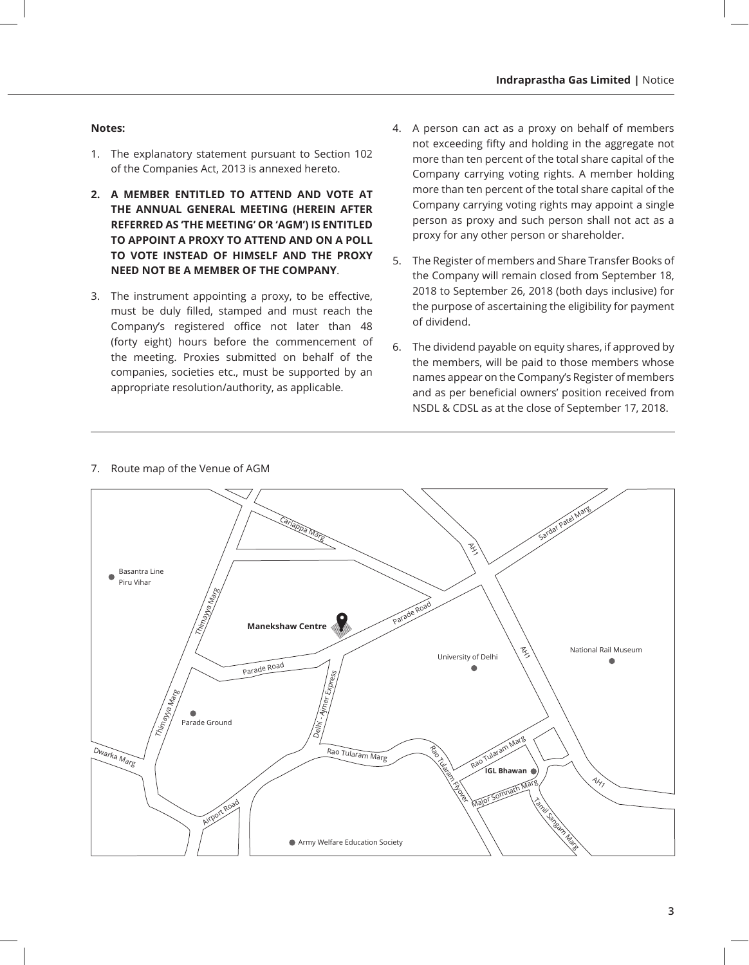#### **Notes:**

- 1. The explanatory statement pursuant to Section 102 of the Companies Act, 2013 is annexed hereto.
- **2. A MEMBER ENTITLED TO ATTEND AND VOTE AT THE ANNUAL GENERAL MEETING (HEREIN AFTER REFERRED AS 'THE MEETING' OR 'AGM') IS ENTITLED TO APPOINT A PROXY TO ATTEND AND ON A POLL TO VOTE INSTEAD OF HIMSELF AND THE PROXY NEED NOT BE A MEMBER OF THE COMPANY**.
- 3. The instrument appointing a proxy, to be effective, must be duly filled, stamped and must reach the Company's registered office not later than 48 (forty eight) hours before the commencement of the meeting. Proxies submitted on behalf of the companies, societies etc., must be supported by an appropriate resolution/authority, as applicable.
- 4. A person can act as a proxy on behalf of members not exceeding fifty and holding in the aggregate not more than ten percent of the total share capital of the Company carrying voting rights. A member holding more than ten percent of the total share capital of the Company carrying voting rights may appoint a single person as proxy and such person shall not act as a proxy for any other person or shareholder.
- 5. The Register of members and Share Transfer Books of the Company will remain closed from September 18, 2018 to September 26, 2018 (both days inclusive) for the purpose of ascertaining the eligibility for payment of dividend.
- 6. The dividend payable on equity shares, if approved by the members, will be paid to those members whose names appear on the Company's Register of members and as per beneficial owners' position received from NSDL & CDSL as at the close of September 17, 2018.



7. Route map of the Venue of AGM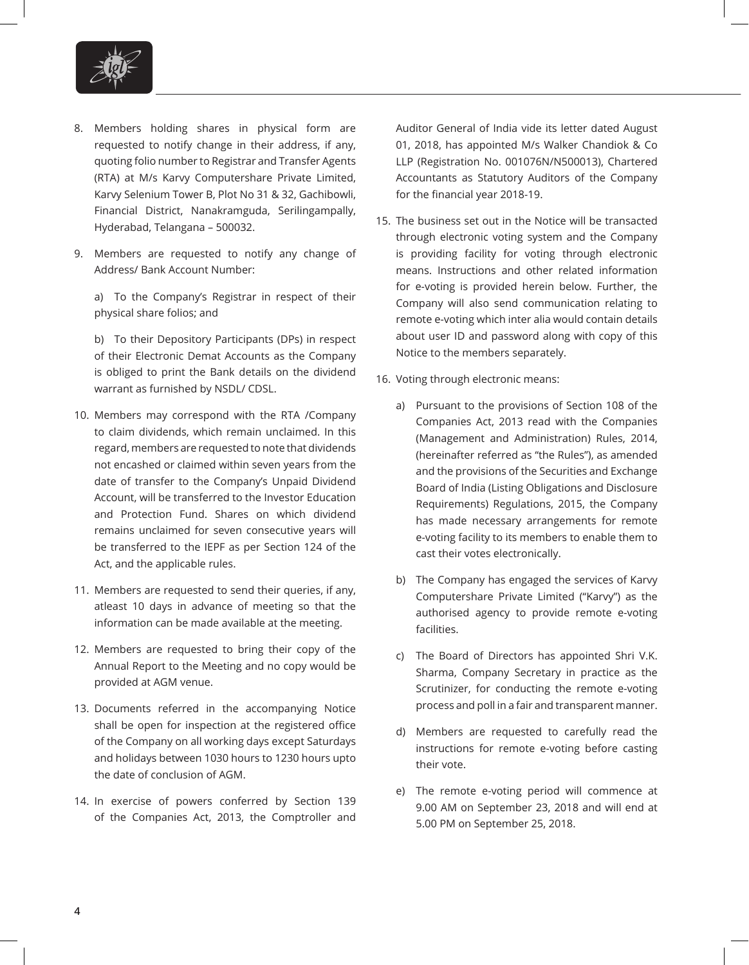

- 8. Members holding shares in physical form are requested to notify change in their address, if any, quoting folio number to Registrar and Transfer Agents (RTA) at M/s Karvy Computershare Private Limited, Karvy Selenium Tower B, Plot No 31 & 32, Gachibowli, Financial District, Nanakramguda, Serilingampally, Hyderabad, Telangana – 500032.
- 9. Members are requested to notify any change of Address/ Bank Account Number:

a) To the Company's Registrar in respect of their physical share folios; and

b) To their Depository Participants (DPs) in respect of their Electronic Demat Accounts as the Company is obliged to print the Bank details on the dividend warrant as furnished by NSDL/ CDSL.

- 10. Members may correspond with the RTA /Company to claim dividends, which remain unclaimed. In this regard, members are requested to note that dividends not encashed or claimed within seven years from the date of transfer to the Company's Unpaid Dividend Account, will be transferred to the Investor Education and Protection Fund. Shares on which dividend remains unclaimed for seven consecutive years will be transferred to the IEPF as per Section 124 of the Act, and the applicable rules.
- 11. Members are requested to send their queries, if any, atleast 10 days in advance of meeting so that the information can be made available at the meeting.
- 12. Members are requested to bring their copy of the Annual Report to the Meeting and no copy would be provided at AGM venue.
- 13. Documents referred in the accompanying Notice shall be open for inspection at the registered office of the Company on all working days except Saturdays and holidays between 1030 hours to 1230 hours upto the date of conclusion of AGM.
- 14. In exercise of powers conferred by Section 139 of the Companies Act, 2013, the Comptroller and

Auditor General of India vide its letter dated August 01, 2018, has appointed M/s Walker Chandiok & Co LLP (Registration No. 001076N/N500013), Chartered Accountants as Statutory Auditors of the Company for the financial year 2018-19.

- 15. The business set out in the Notice will be transacted through electronic voting system and the Company is providing facility for voting through electronic means. Instructions and other related information for e-voting is provided herein below. Further, the Company will also send communication relating to remote e-voting which inter alia would contain details about user ID and password along with copy of this Notice to the members separately.
- 16. Voting through electronic means:
	- a) Pursuant to the provisions of Section 108 of the Companies Act, 2013 read with the Companies (Management and Administration) Rules, 2014, (hereinafter referred as "the Rules"), as amended and the provisions of the Securities and Exchange Board of India (Listing Obligations and Disclosure Requirements) Regulations, 2015, the Company has made necessary arrangements for remote e-voting facility to its members to enable them to cast their votes electronically.
	- b) The Company has engaged the services of Karvy Computershare Private Limited ("Karvy") as the authorised agency to provide remote e-voting facilities.
	- c) The Board of Directors has appointed Shri V.K. Sharma, Company Secretary in practice as the Scrutinizer, for conducting the remote e-voting process and poll in a fair and transparent manner.
	- d) Members are requested to carefully read the instructions for remote e-voting before casting their vote.
	- e) The remote e-voting period will commence at 9.00 AM on September 23, 2018 and will end at 5.00 PM on September 25, 2018.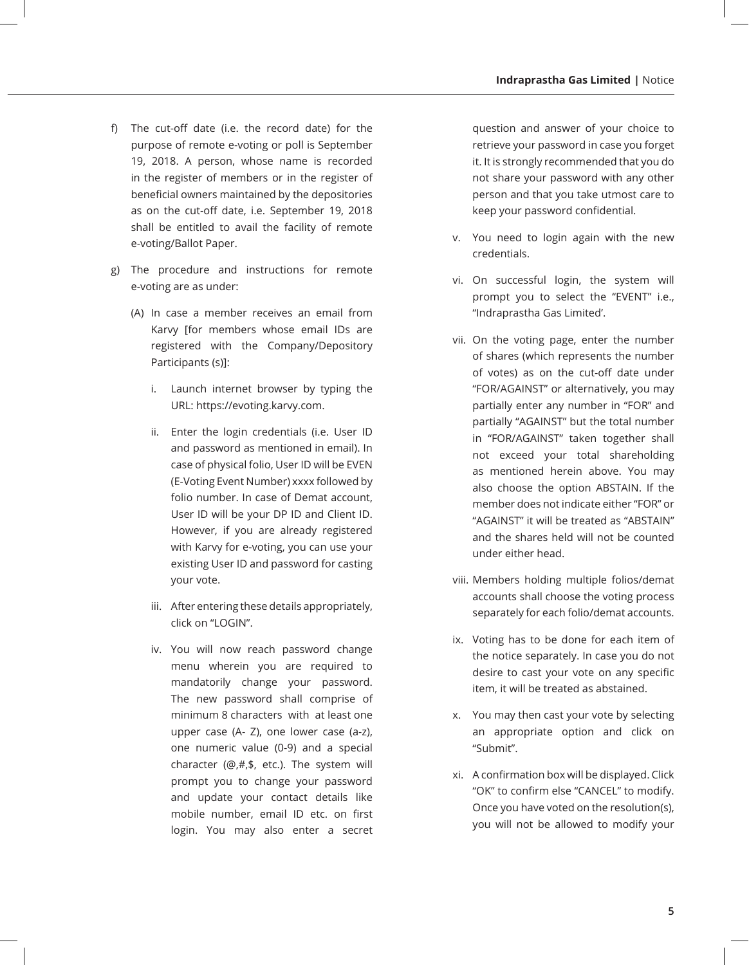- f) The cut-off date (i.e. the record date) for the purpose of remote e-voting or poll is September 19, 2018. A person, whose name is recorded in the register of members or in the register of beneficial owners maintained by the depositories as on the cut-off date, i.e. September 19, 2018 shall be entitled to avail the facility of remote e-voting/Ballot Paper.
- g) The procedure and instructions for remote e-voting are as under:
	- (A) In case a member receives an email from Karvy [for members whose email IDs are registered with the Company/Depository Participants (s)]:
		- i. Launch internet browser by typing the URL: https://evoting.karvy.com.
		- ii. Enter the login credentials (i.e. User ID and password as mentioned in email). In case of physical folio, User ID will be EVEN (E-Voting Event Number) xxxx followed by folio number. In case of Demat account, User ID will be your DP ID and Client ID. However, if you are already registered with Karvy for e-voting, you can use your existing User ID and password for casting your vote.
		- iii. After entering these details appropriately, click on "LOGIN".
		- iv. You will now reach password change menu wherein you are required to mandatorily change your password. The new password shall comprise of minimum 8 characters with at least one upper case (A- Z), one lower case (a-z), one numeric value (0-9) and a special character (@,#,\$, etc.). The system will prompt you to change your password and update your contact details like mobile number, email ID etc. on first login. You may also enter a secret

question and answer of your choice to retrieve your password in case you forget it. It is strongly recommended that you do not share your password with any other person and that you take utmost care to keep your password confidential.

- v. You need to login again with the new credentials.
- vi. On successful login, the system will prompt you to select the "EVENT" i.e., ''Indraprastha Gas Limited'.
- vii. On the voting page, enter the number of shares (which represents the number of votes) as on the cut-off date under "FOR/AGAINST" or alternatively, you may partially enter any number in "FOR" and partially "AGAINST" but the total number in "FOR/AGAINST" taken together shall not exceed your total shareholding as mentioned herein above. You may also choose the option ABSTAIN. If the member does not indicate either "FOR" or "AGAINST" it will be treated as "ABSTAIN" and the shares held will not be counted under either head.
- viii. Members holding multiple folios/demat accounts shall choose the voting process separately for each folio/demat accounts.
- ix. Voting has to be done for each item of the notice separately. In case you do not desire to cast your vote on any specific item, it will be treated as abstained.
- x. You may then cast your vote by selecting an appropriate option and click on "Submit".
- xi. A confirmation box will be displayed. Click "OK" to confirm else "CANCEL" to modify. Once you have voted on the resolution(s), you will not be allowed to modify your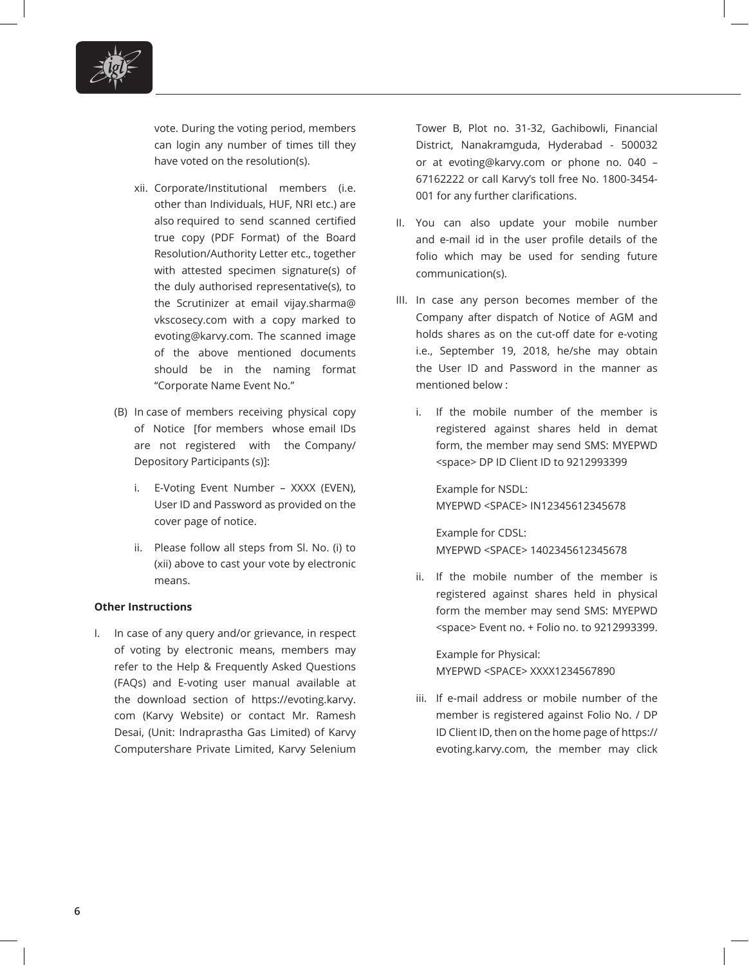

vote. During the voting period, members can login any number of times till they have voted on the resolution(s).

- xii. Corporate/Institutional members (i.e. other than Individuals, HUF, NRI etc.) are also required to send scanned certified true copy (PDF Format) of the Board Resolution/Authority Letter etc., together with attested specimen signature(s) of the duly authorised representative(s), to the Scrutinizer at email vijay.sharma@ vkscosecy.com with a copy marked to evoting@karvy.com. The scanned image of the above mentioned documents should be in the naming format "Corporate Name Event No."
- (B) In case of members receiving physical copy of Notice [for members whose email IDs are not registered with the Company/ Depository Participants (s)]:
	- i. E-Voting Event Number XXXX (EVEN), User ID and Password as provided on the cover page of notice.
	- ii. Please follow all steps from Sl. No. (i) to (xii) above to cast your vote by electronic means.

#### **Other Instructions**

I. In case of any query and/or grievance, in respect of voting by electronic means, members may refer to the Help & Frequently Asked Questions (FAQs) and E-voting user manual available at the download section of https://evoting.karvy. com (Karvy Website) or contact Mr. Ramesh Desai, (Unit: Indraprastha Gas Limited) of Karvy Computershare Private Limited, Karvy Selenium

Tower B, Plot no. 31-32, Gachibowli, Financial District, Nanakramguda, Hyderabad - 500032 or at evoting@karvy.com or phone no. 040 – 67162222 or call Karvy's toll free No. 1800-3454- 001 for any further clarifications.

- II. You can also update your mobile number and e-mail id in the user profile details of the folio which may be used for sending future communication(s).
- III. In case any person becomes member of the Company after dispatch of Notice of AGM and holds shares as on the cut-off date for e-voting i.e., September 19, 2018, he/she may obtain the User ID and Password in the manner as mentioned below :
	- i. If the mobile number of the member is registered against shares held in demat form, the member may send SMS: MYEPWD <space> DP ID Client ID to 9212993399

Example for NSDL: MYEPWD <SPACE> IN12345612345678

Example for CDSL: MYEPWD <SPACE> 1402345612345678

 ii. If the mobile number of the member is registered against shares held in physical form the member may send SMS: MYEPWD <space> Event no. + Folio no. to 9212993399.

Example for Physical: MYEPWD <SPACE> XXXX1234567890

 iii. If e-mail address or mobile number of the member is registered against Folio No. / DP ID Client ID, then on the home page of https:// evoting.karvy.com, the member may click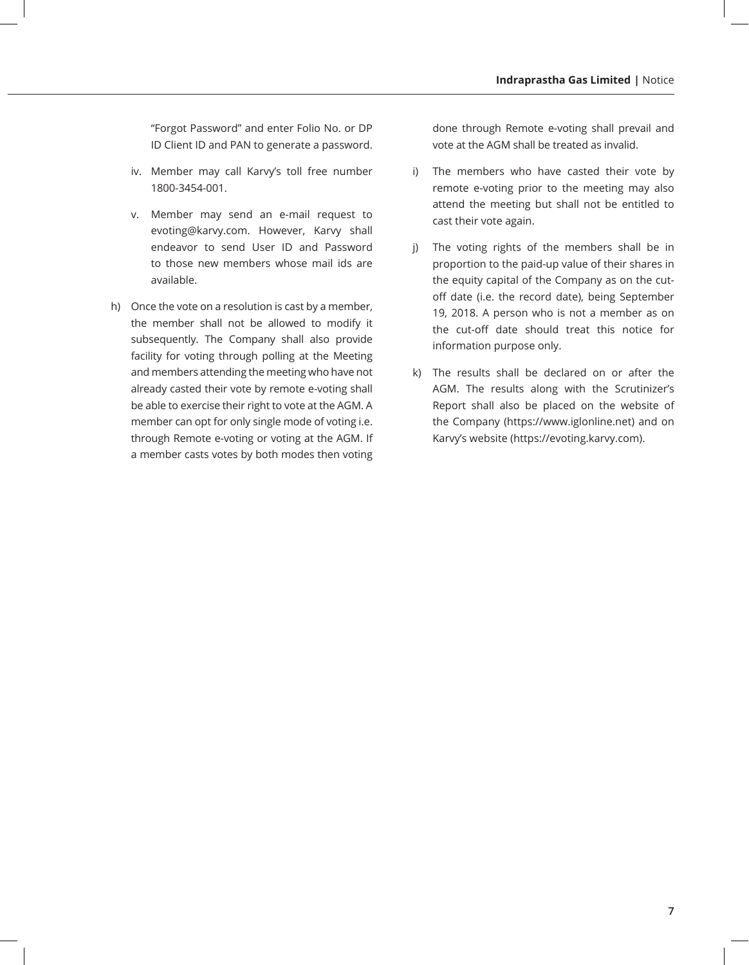"Forgot Password" and enter Folio No. or DP ID Client ID and PAN to generate a password.

- iv. Member may call Karvy's toll free number 1800-3454-001.
- v. Member may send an e-mail request to evoting@karvy.com. However, Karvy shall endeavor to send User ID and Password to those new members whose mail ids are available.
- h) Once the vote on a resolution is cast by a member, the member shall not be allowed to modify it subsequently. The Company shall also provide facility for voting through polling at the Meeting and members attending the meeting who have not already casted their vote by remote e-voting shall be able to exercise their right to vote at the AGM. A member can opt for only single mode of voting i.e. through Remote e-voting or voting at the AGM. If a member casts votes by both modes then voting

done through Remote e-voting shall prevail and vote at the AGM shall be treated as invalid.

- i) The members who have casted their vote by remote e-voting prior to the meeting may also attend the meeting but shall not be entitled to cast their vote again.
- j) The voting rights of the members shall be in proportion to the paid-up value of their shares in the equity capital of the Company as on the cutoff date (i.e. the record date), being September 19, 2018. A person who is not a member as on the cut-off date should treat this notice for information purpose only.
- k) The results shall be declared on or after the AGM. The results along with the Scrutinizer's Report shall also be placed on the website of the Company (https://www.iglonline.net) and on Karvy's website (https://evoting.karvy.com).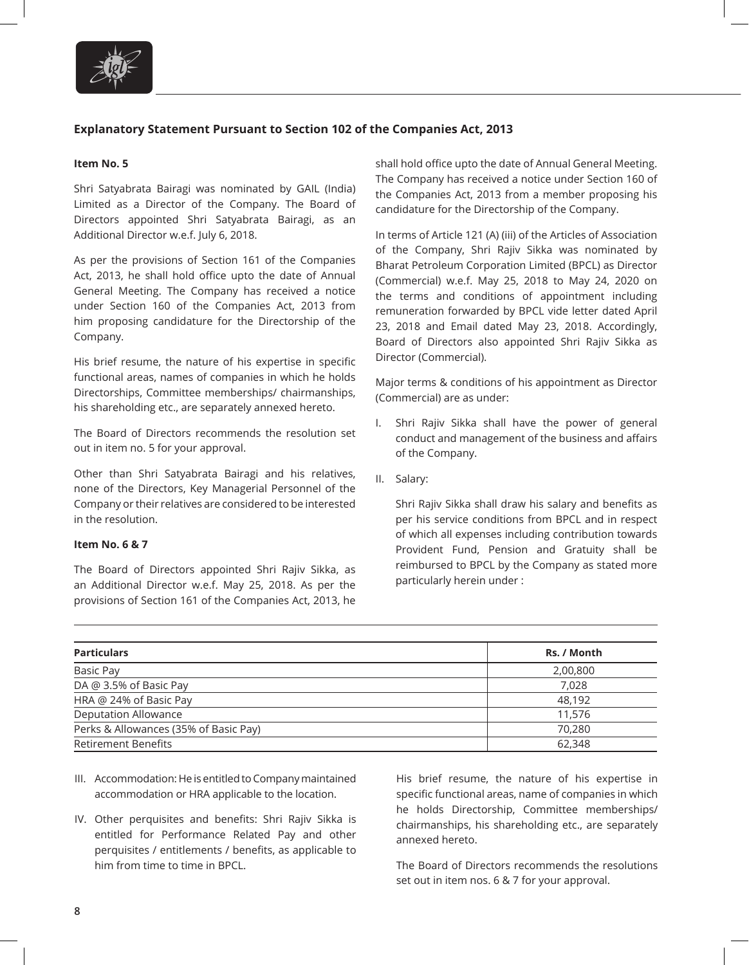

## **Explanatory Statement Pursuant to Section 102 of the Companies Act, 2013**

#### **Item No. 5**

Shri Satyabrata Bairagi was nominated by GAIL (India) Limited as a Director of the Company. The Board of Directors appointed Shri Satyabrata Bairagi, as an Additional Director w.e.f. July 6, 2018.

As per the provisions of Section 161 of the Companies Act, 2013, he shall hold office upto the date of Annual General Meeting. The Company has received a notice under Section 160 of the Companies Act, 2013 from him proposing candidature for the Directorship of the Company.

His brief resume, the nature of his expertise in specific functional areas, names of companies in which he holds Directorships, Committee memberships/ chairmanships, his shareholding etc., are separately annexed hereto.

The Board of Directors recommends the resolution set out in item no. 5 for your approval.

Other than Shri Satyabrata Bairagi and his relatives, none of the Directors, Key Managerial Personnel of the Company or their relatives are considered to be interested in the resolution.

#### **Item No. 6 & 7**

The Board of Directors appointed Shri Rajiv Sikka, as an Additional Director w.e.f. May 25, 2018. As per the provisions of Section 161 of the Companies Act, 2013, he shall hold office upto the date of Annual General Meeting. The Company has received a notice under Section 160 of the Companies Act, 2013 from a member proposing his candidature for the Directorship of the Company.

In terms of Article 121 (A) (iii) of the Articles of Association of the Company, Shri Rajiv Sikka was nominated by Bharat Petroleum Corporation Limited (BPCL) as Director (Commercial) w.e.f. May 25, 2018 to May 24, 2020 on the terms and conditions of appointment including remuneration forwarded by BPCL vide letter dated April 23, 2018 and Email dated May 23, 2018. Accordingly, Board of Directors also appointed Shri Rajiv Sikka as Director (Commercial).

Major terms & conditions of his appointment as Director (Commercial) are as under:

- I. Shri Rajiv Sikka shall have the power of general conduct and management of the business and affairs of the Company.
- II. Salary:

Shri Rajiv Sikka shall draw his salary and benefits as per his service conditions from BPCL and in respect of which all expenses including contribution towards Provident Fund, Pension and Gratuity shall be reimbursed to BPCL by the Company as stated more particularly herein under :

| <b>Particulars</b>                    | Rs. / Month |
|---------------------------------------|-------------|
| Basic Pay                             | 2,00,800    |
| DA @ 3.5% of Basic Pay                | 7,028       |
| HRA @ 24% of Basic Pay                | 48,192      |
| <b>Deputation Allowance</b>           | 11,576      |
| Perks & Allowances (35% of Basic Pay) | 70,280      |
| <b>Retirement Benefits</b>            | 62,348      |

- III. Accommodation: He is entitled to Company maintained accommodation or HRA applicable to the location.
- IV. Other perquisites and benefits: Shri Rajiv Sikka is entitled for Performance Related Pay and other perquisites / entitlements / benefits, as applicable to him from time to time in BPCL.

His brief resume, the nature of his expertise in specific functional areas, name of companies in which he holds Directorship, Committee memberships/ chairmanships, his shareholding etc., are separately annexed hereto.

The Board of Directors recommends the resolutions set out in item nos. 6 & 7 for your approval.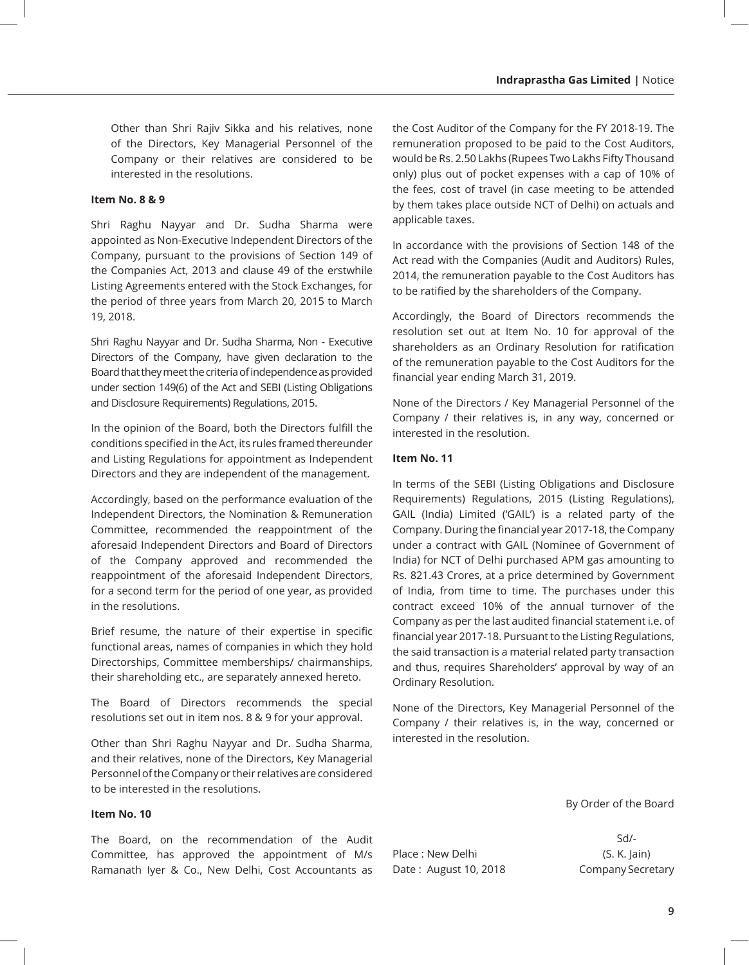Other than Shri Rajiv Sikka and his relatives, none of the Directors, Key Managerial Personnel of the Company or their relatives are considered to be interested in the resolutions.

### **Item No. 8 & 9**

Shri Raghu Nayyar and Dr. Sudha Sharma were appointed as Non-Executive Independent Directors of the Company, pursuant to the provisions of Section 149 of the Companies Act, 2013 and clause 49 of the erstwhile Listing Agreements entered with the Stock Exchanges, for the period of three years from March 20, 2015 to March 19, 2018.

Shri Raghu Nayyar and Dr. Sudha Sharma, Non - Executive Directors of the Company, have given declaration to the Board that they meet the criteria of independence as provided under section 149(6) of the Act and SEBI (Listing Obligations and Disclosure Requirements) Regulations, 2015.

In the opinion of the Board, both the Directors fulfill the conditions specified in the Act, its rules framed thereunder and Listing Regulations for appointment as Independent Directors and they are independent of the management.

Accordingly, based on the performance evaluation of the Independent Directors, the Nomination & Remuneration Committee, recommended the reappointment of the aforesaid Independent Directors and Board of Directors of the Company approved and recommended the reappointment of the aforesaid Independent Directors, for a second term for the period of one year, as provided in the resolutions.

Brief resume, the nature of their expertise in specific functional areas, names of companies in which they hold Directorships, Committee memberships/ chairmanships, their shareholding etc., are separately annexed hereto.

The Board of Directors recommends the special resolutions set out in item nos. 8 & 9 for your approval.

Other than Shri Raghu Nayyar and Dr. Sudha Sharma, and their relatives, none of the Directors, Key Managerial Personnel of the Company or their relatives are considered to be interested in the resolutions.

#### **Item No. 10**

The Board, on the recommendation of the Audit Committee, has approved the appointment of M/s Ramanath Iyer & Co., New Delhi, Cost Accountants as the Cost Auditor of the Company for the FY 2018-19. The remuneration proposed to be paid to the Cost Auditors, would be Rs. 2.50 Lakhs (Rupees Two Lakhs Fifty Thousand only) plus out of pocket expenses with a cap of 10% of the fees, cost of travel (in case meeting to be attended by them takes place outside NCT of Delhi) on actuals and applicable taxes.

In accordance with the provisions of Section 148 of the Act read with the Companies (Audit and Auditors) Rules, 2014, the remuneration payable to the Cost Auditors has to be ratified by the shareholders of the Company.

Accordingly, the Board of Directors recommends the resolution set out at Item No. 10 for approval of the shareholders as an Ordinary Resolution for ratification of the remuneration payable to the Cost Auditors for the financial year ending March 31, 2019.

None of the Directors / Key Managerial Personnel of the Company / their relatives is, in any way, concerned or interested in the resolution.

#### **Item No. 11**

In terms of the SEBI (Listing Obligations and Disclosure Requirements) Regulations, 2015 (Listing Regulations), GAIL (India) Limited ('GAIL') is a related party of the Company. During the financial year 2017-18, the Company under a contract with GAIL (Nominee of Government of India) for NCT of Delhi purchased APM gas amounting to Rs. 821.43 Crores, at a price determined by Government of India, from time to time. The purchases under this contract exceed 10% of the annual turnover of the Company as per the last audited financial statement i.e. of financial year 2017-18. Pursuant to the Listing Regulations, the said transaction is a material related party transaction and thus, requires Shareholders' approval by way of an Ordinary Resolution.

None of the Directors, Key Managerial Personnel of the Company / their relatives is, in the way, concerned or interested in the resolution.

By Order of the Board

Place : New Delhi (S. K. Jain) Date: August 10, 2018 Company Secretary

Sd/-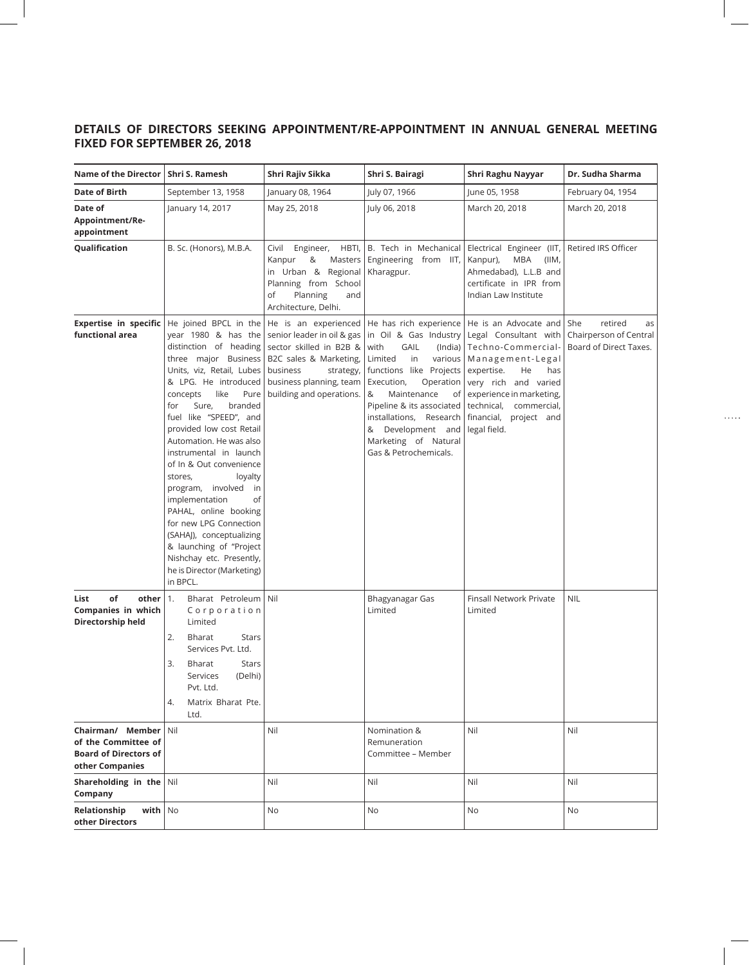## **DETAILS OF DIRECTORS SEEKING APPOINTMENT/RE-APPOINTMENT IN ANNUAL GENERAL MEETING FIXED FOR SEPTEMBER 26, 2018**

| <b>Name of the Director</b>                                                                | Shri S. Ramesh                                                                                                                                                                                                                                                                                                                                                                                                                                                                                                                                                                                            | Shri Rajiv Sikka                                                                                                                                                                        | Shri S. Bairagi                                                                                                                                                                                                                                                                                                                     | Shri Raghu Nayyar                                                                                                                                                                                                            | Dr. Sudha Sharma                                                           |
|--------------------------------------------------------------------------------------------|-----------------------------------------------------------------------------------------------------------------------------------------------------------------------------------------------------------------------------------------------------------------------------------------------------------------------------------------------------------------------------------------------------------------------------------------------------------------------------------------------------------------------------------------------------------------------------------------------------------|-----------------------------------------------------------------------------------------------------------------------------------------------------------------------------------------|-------------------------------------------------------------------------------------------------------------------------------------------------------------------------------------------------------------------------------------------------------------------------------------------------------------------------------------|------------------------------------------------------------------------------------------------------------------------------------------------------------------------------------------------------------------------------|----------------------------------------------------------------------------|
| Date of Birth                                                                              | September 13, 1958                                                                                                                                                                                                                                                                                                                                                                                                                                                                                                                                                                                        | January 08, 1964                                                                                                                                                                        | July 07, 1966                                                                                                                                                                                                                                                                                                                       | June 05, 1958                                                                                                                                                                                                                | February 04, 1954                                                          |
| Date of<br>Appointment/Re-<br>appointment                                                  | January 14, 2017                                                                                                                                                                                                                                                                                                                                                                                                                                                                                                                                                                                          | May 25, 2018                                                                                                                                                                            | July 06, 2018                                                                                                                                                                                                                                                                                                                       | March 20, 2018                                                                                                                                                                                                               | March 20, 2018                                                             |
| Qualification                                                                              | B. Sc. (Honors), M.B.A.                                                                                                                                                                                                                                                                                                                                                                                                                                                                                                                                                                                   | Civil Engineer, HBTI,<br>&<br>Kanpur<br>Masters<br>in Urban & Regional<br>Planning from School<br>of<br>Planning<br>and<br>Architecture, Delhi.                                         | B. Tech in Mechanical<br>Engineering from IIT,<br>Kharagpur.                                                                                                                                                                                                                                                                        | Electrical Engineer (IIT,<br>MBA<br>Kanpur),<br>(IIM,<br>Ahmedabad), L.L.B and<br>certificate in IPR from<br>Indian Law Institute                                                                                            | Retired IRS Officer                                                        |
| <b>Expertise in specific</b><br>functional area                                            | He joined BPCL in the<br>year 1980 & has the<br>distinction of heading<br>three major Business<br>Units, viz, Retail, Lubes<br>& LPG. He introduced<br>like<br>Pure<br>concepts<br>Sure,<br>branded<br>for<br>fuel like "SPEED", and<br>provided low cost Retail<br>Automation. He was also<br>instrumental in launch<br>of In & Out convenience<br>stores,<br>loyalty<br>program, involved<br>in<br>of<br>implementation<br>PAHAL, online booking<br>for new LPG Connection<br>(SAHAJ), conceptualizing<br>& launching of "Project<br>Nishchay etc. Presently,<br>he is Director (Marketing)<br>in BPCL. | He is an experienced<br>senior leader in oil & gas<br>sector skilled in B2B &<br>B2C sales & Marketing,<br>business<br>strategy,<br>business planning, team<br>building and operations. | He has rich experience   He is an Advocate and<br>in Oil & Gas Industry<br>GAIL<br>with<br>Limited<br>in<br>various<br>functions like Projects<br>Execution,<br>Operation<br>&<br>Maintenance<br>of<br>Pipeline & its associated<br>installations, Research  <br>& Development and<br>Marketing of Natural<br>Gas & Petrochemicals. | Legal Consultant with<br>(India)   Techno-Commercial-<br>Management-Legal<br>expertise.<br>He<br>has<br>very rich and varied<br>experience in marketing,<br>technical, commercial,<br>financial, project and<br>legal field. | retired<br>  She<br>as<br>Chairperson of Central<br>Board of Direct Taxes. |
| of<br>other<br>List<br>Companies in which<br>Directorship held                             | Bharat Petroleum Nil<br>1.<br>Corporation<br>Limited<br>2.<br>Bharat<br><b>Stars</b><br>Services Pvt. Ltd.<br>3.<br><b>Stars</b><br>Bharat<br>Services<br>(Delhi)<br>Pvt. Ltd.<br>Matrix Bharat Pte.<br>4.<br>Ltd.                                                                                                                                                                                                                                                                                                                                                                                        |                                                                                                                                                                                         | Bhagyanagar Gas<br>Limited                                                                                                                                                                                                                                                                                                          | Finsall Network Private<br>Limited                                                                                                                                                                                           | <b>NIL</b>                                                                 |
| Chairman/ Member<br>of the Committee of<br><b>Board of Directors of</b><br>other Companies | Nil                                                                                                                                                                                                                                                                                                                                                                                                                                                                                                                                                                                                       | Nil                                                                                                                                                                                     | Nomination &<br>Remuneration<br>Committee - Member                                                                                                                                                                                                                                                                                  | Nil                                                                                                                                                                                                                          | Nil                                                                        |
| Shareholding in the $\vert$ Nil<br>Company                                                 |                                                                                                                                                                                                                                                                                                                                                                                                                                                                                                                                                                                                           | Nil                                                                                                                                                                                     | Nil                                                                                                                                                                                                                                                                                                                                 | Nil                                                                                                                                                                                                                          | Nil                                                                        |
| Relationship<br>with   No<br>other Directors                                               |                                                                                                                                                                                                                                                                                                                                                                                                                                                                                                                                                                                                           | No                                                                                                                                                                                      | No                                                                                                                                                                                                                                                                                                                                  | No                                                                                                                                                                                                                           | No                                                                         |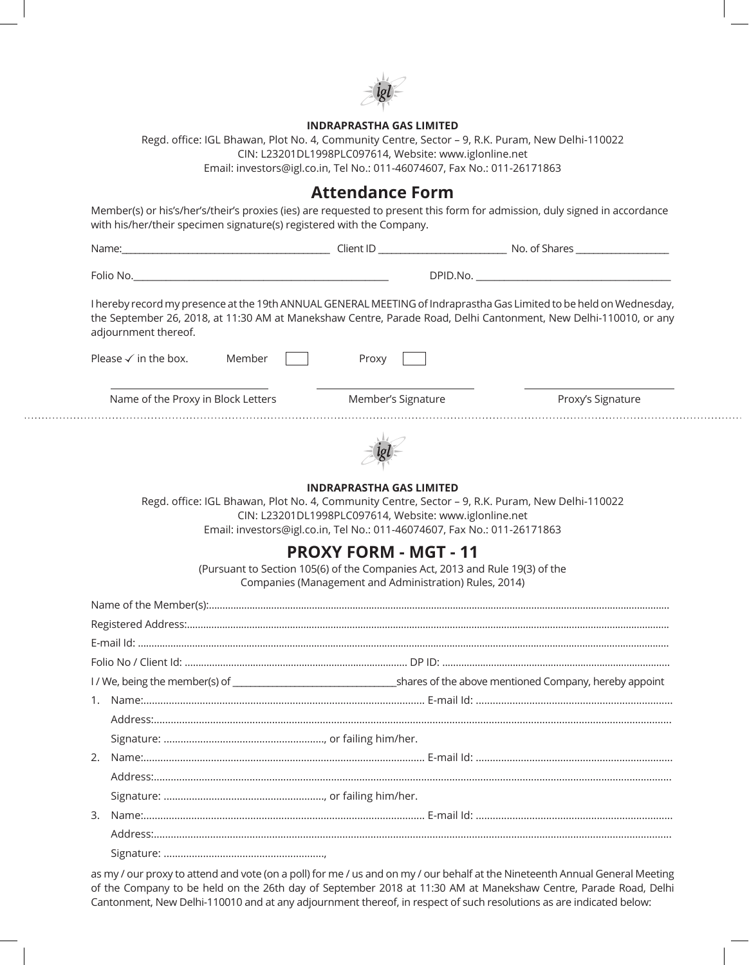

### **INDRAPRASTHA GAS LIMITED**

Regd. office: IGL Bhawan, Plot No. 4, Community Centre, Sector – 9, R.K. Puram, New Delhi-110022 CIN: L23201DL1998PLC097614, Website: www.iglonline.net Email: investors@igl.co.in, Tel No.: 011-46074607, Fax No.: 011-26171863

## **Attendance Form**

Member(s) or his's/her's/their's proxies (ies) are requested to present this form for admission, duly signed in accordance

| I hereby record my presence at the 19th ANNUAL GENERAL MEETING of Indraprastha Gas Limited to be held on Wednesday,<br>the September 26, 2018, at 11:30 AM at Manekshaw Centre, Parade Road, Delhi Cantonment, New Delhi-110010, or any<br>adjournment thereof. |                                                                                                                                                                        |                   |  |
|-----------------------------------------------------------------------------------------------------------------------------------------------------------------------------------------------------------------------------------------------------------------|------------------------------------------------------------------------------------------------------------------------------------------------------------------------|-------------------|--|
| Please $\checkmark$ in the box.<br>Member                                                                                                                                                                                                                       | Proxy                                                                                                                                                                  |                   |  |
| Name of the Proxy in Block Letters Member's Signature                                                                                                                                                                                                           |                                                                                                                                                                        | Proxy's Signature |  |
|                                                                                                                                                                                                                                                                 |                                                                                                                                                                        |                   |  |
| Regd. office: IGL Bhawan, Plot No. 4, Community Centre, Sector - 9, R.K. Puram, New Delhi-110022                                                                                                                                                                | <b>INDRAPRASTHA GAS LIMITED</b><br>CIN: L23201DL1998PLC097614, Website: www.iglonline.net                                                                              |                   |  |
|                                                                                                                                                                                                                                                                 | Email: investors@igl.co.in, Tel No.: 011-46074607, Fax No.: 011-26171863                                                                                               |                   |  |
|                                                                                                                                                                                                                                                                 | <b>PROXY FORM - MGT - 11</b><br>(Pursuant to Section 105(6) of the Companies Act, 2013 and Rule 19(3) of the<br>Companies (Management and Administration) Rules, 2014) |                   |  |
|                                                                                                                                                                                                                                                                 |                                                                                                                                                                        |                   |  |
|                                                                                                                                                                                                                                                                 |                                                                                                                                                                        |                   |  |
|                                                                                                                                                                                                                                                                 |                                                                                                                                                                        |                   |  |
|                                                                                                                                                                                                                                                                 |                                                                                                                                                                        |                   |  |
|                                                                                                                                                                                                                                                                 |                                                                                                                                                                        |                   |  |
|                                                                                                                                                                                                                                                                 |                                                                                                                                                                        |                   |  |
|                                                                                                                                                                                                                                                                 |                                                                                                                                                                        |                   |  |
|                                                                                                                                                                                                                                                                 |                                                                                                                                                                        |                   |  |
| 2.                                                                                                                                                                                                                                                              |                                                                                                                                                                        |                   |  |
|                                                                                                                                                                                                                                                                 |                                                                                                                                                                        |                   |  |
|                                                                                                                                                                                                                                                                 |                                                                                                                                                                        |                   |  |
| 3.                                                                                                                                                                                                                                                              |                                                                                                                                                                        |                   |  |
|                                                                                                                                                                                                                                                                 |                                                                                                                                                                        |                   |  |

. . . . . . . . . . . . . .

as my / our proxy to attend and vote (on a poll) for me / us and on my / our behalf at the Nineteenth Annual General Meeting of the Company to be held on the 26th day of September 2018 at 11:30 AM at Manekshaw Centre, Parade Road, Delhi Cantonment, New Delhi-110010 and at any adjournment thereof, in respect of such resolutions as are indicated below: